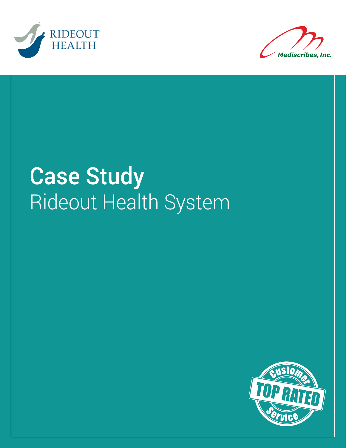



# Case Study Rideout Health System

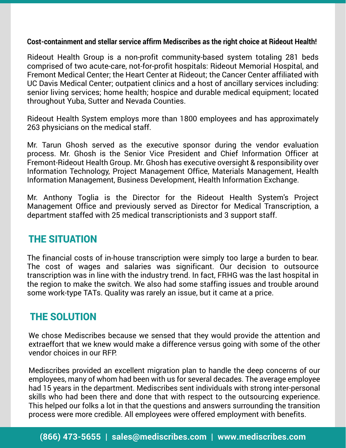#### **Cost-containment and stellar service affirm Mediscribes as the right choice at Rideout Health!**

Rideout Health Group is a non-profit community-based system totaling 281 beds comprised of two acute-care, not-for-profit hospitals: Rideout Memorial Hospital, and Fremont Medical Center; the Heart Center at Rideout; the Cancer Center affiliated with UC Davis Medical Center; outpatient clinics and a host of ancillary services including: senior living services; home health; hospice and durable medical equipment; located throughout Yuba, Sutter and Nevada Counties.

Rideout Health System employs more than 1800 employees and has approximately 263 physicians on the medical staff.

Mr. Tarun Ghosh served as the executive sponsor during the vendor evaluation process. Mr. Ghosh is the Senior Vice President and Chief Information Officer at Fremont-Rideout Health Group. Mr. Ghosh has executive oversight & responsibility over Information Technology, Project Management Office, Materials Management, Health Information Management, Business Development, Health Information Exchange.

Mr. Anthony Toglia is the Director for the Rideout Health System's Project Management Office and previously served as Director for Medical Transcription, a department staffed with 25 medical transcriptionists and 3 support staff.

### THE SITUATION

The financial costs of in-house transcription were simply too large a burden to bear. The cost of wages and salaries was significant. Our decision to outsource transcription was in line with the industry trend. In fact, FRHG was the last hospital in the region to make the switch. We also had some staffing issues and trouble around some work-type TATs. Quality was rarely an issue, but it came at a price.

### THE SOLUTION

We chose Mediscribes because we sensed that they would provide the attention and extraeffort that we knew would make a difference versus going with some of the other vendor choices in our RFP.

Mediscribes provided an excellent migration plan to handle the deep concerns of our employees, many of whom had been with us for several decades. The average employee had 15 years in the department. Mediscribes sent individuals with strong inter-personal skills who had been there and done that with respect to the outsourcing experience. This helped our folks a lot in that the questions and answers surrounding the transition process were more credible. All employees were offered employment with benefits.